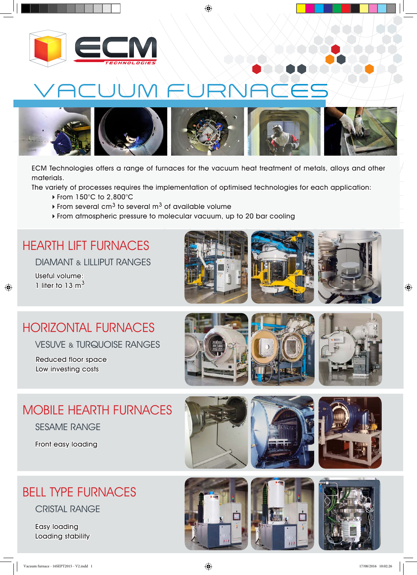

<u>CUUM FI</u>



ECM Technologies offers a range of furnaces for the vacuum heat treatment of metals, alloys and other materials.

The variety of processes requires the implementation of optimised technologies for each application:

- From 150°C to 2,800°C
- From several cm<sup>3</sup> to several m<sup>3</sup> of available volume
- From atmospheric pressure to molecular vacuum, up to 20 bar cooling

#### HEARTH LIFT FURNACES

DIAMANT & LILLIPUT RANGES

Useful volume: 1 liter to 13  $m<sup>3</sup>$ 







## HORIZONTAL FURNACES

VESUVE & TURQUOISE RANGES

Reduced floor space Low investing costs







### MOBILE HEARTH FURNACES

SESAME RANGE

Front easy loading







### BELL TYPE FURNACES

CRISTAL RANGE

Easy loading Loading stability